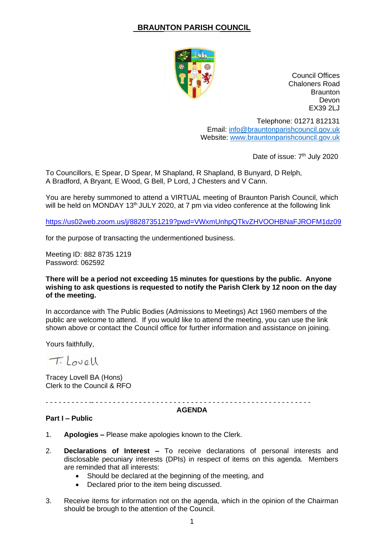# **BRAUNTON PARISH COUNCIL**



Council Offices Chaloners Road **Braunton** Devon EX39 2LJ

Telephone: 01271 812131 Email: [info@brauntonparishcouncil.gov.uk](mailto:info@brauntonparishcouncil.gov.uk) Website: [www.brauntonparishcouncil.gov.uk](http://www.brauntonparishcouncil.gov.uk/)

Date of issue: 7<sup>th</sup> July 2020

To Councillors, E Spear, D Spear, M Shapland, R Shapland, B Bunyard, D Relph, A Bradford, A Bryant, E Wood, G Bell, P Lord, J Chesters and V Cann.

You are hereby summoned to attend a VIRTUAL meeting of Braunton Parish Council, which will be held on MONDAY 13<sup>th</sup> JULY 2020, at 7 pm via video conference at the following link

<https://us02web.zoom.us/j/88287351219?pwd=VWxmUnhpQTkvZHVOOHBNaFJROFM1dz09>

for the purpose of transacting the undermentioned business.

Meeting ID: 882 8735 1219 Password: 062592

#### **There will be a period not exceeding 15 minutes for questions by the public. Anyone wishing to ask questions is requested to notify the Parish Clerk by 12 noon on the day of the meeting.**

In accordance with The Public Bodies (Admissions to Meetings) Act 1960 members of the public are welcome to attend. If you would like to attend the meeting, you can use the link shown above or contact the Council office for further information and assistance on joining.

Yours faithfully,

Tilovell

Tracey Lovell BA (Hons) Clerk to the Council & RFO

- - - - - - - - - - -- - - - - - - - - - - - - - - - - - - - - - - - - - - - - - - - - - - - - - - - - - - - - - - - - - -

#### **AGENDA**

#### **Part I – Public**

- 1. **Apologies –** Please make apologies known to the Clerk.
- 2. **Declarations of Interest –** To receive declarations of personal interests and disclosable pecuniary interests (DPIs) in respect of items on this agenda. Members are reminded that all interests:
	- Should be declared at the beginning of the meeting, and
	- Declared prior to the item being discussed.
- 3. Receive items for information not on the agenda, which in the opinion of the Chairman should be brough to the attention of the Council.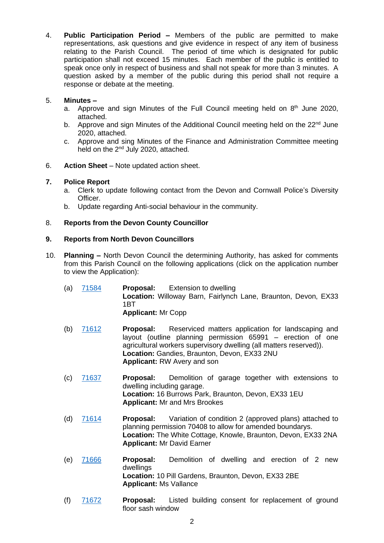4. **Public Participation Period –** Members of the public are permitted to make representations, ask questions and give evidence in respect of any item of business relating to the Parish Council. The period of time which is designated for public participation shall not exceed 15 minutes. Each member of the public is entitled to speak once only in respect of business and shall not speak for more than 3 minutes. A question asked by a member of the public during this period shall not require a response or debate at the meeting.

# 5. **Minutes –**

- a. Approve and sign Minutes of the Full Council meeting held on  $8<sup>th</sup>$  June 2020, attached.
- b. Approve and sign Minutes of the Additional Council meeting held on the  $22^{nd}$  June 2020, attached.
- c. Approve and sing Minutes of the Finance and Administration Committee meeting held on the 2<sup>nd</sup> July 2020, attached.
- 6. **Action Sheet** Note updated action sheet.

## **7. Police Report**

- a. Clerk to update following contact from the Devon and Cornwall Police's Diversity Officer.
- b. Update regarding Anti-social behaviour in the community.

## 8. **Reports from the Devon County Councillor**

## **9. Reports from North Devon Councillors**

- 10. **Planning –** North Devon Council the determining Authority, has asked for comments from this Parish Council on the following applications (click on the application number to view the Application):
	- (a) [71584](https://planning.northdevon.gov.uk/Planning/Display/71584) **Proposal:** Extension to dwelling **Location:** Willoway Barn, Fairlynch Lane, Braunton, Devon, EX33 1BT **Applicant:** Mr Copp
	- (b) [71612](https://planning.northdevon.gov.uk/Planning/Display/71612) **Proposal:** Reserviced matters application for landscaping and layout (outline planning permission 65991 – erection of one agricultural workers supervisory dwelling (all matters reserved)). **Location:** Gandies, Braunton, Devon, EX33 2NU **Applicant:** RW Avery and son
	- (c) [71637](https://planning.northdevon.gov.uk/Planning/Display/71637) **Proposal:** Demolition of garage together with extensions to dwelling including garage. **Location:** 16 Burrows Park, Braunton, Devon, EX33 1EU **Applicant:** Mr and Mrs Brookes
	- (d) [71614](https://planning.northdevon.gov.uk/Planning/Display/71614) **Proposal:** Variation of condition 2 (approved plans) attached to planning permission 70408 to allow for amended boundarys. **Location:** The White Cottage, Knowle, Braunton, Devon, EX33 2NA **Applicant:** Mr David Earner
	- (e) [71666](https://planning.northdevon.gov.uk/Planning/Display/71666) **Proposal:** Demolition of dwelling and erection of 2 new dwellings **Location:** 10 Pill Gardens, Braunton, Devon, EX33 2BE **Applicant:** Ms Vallance
	- (f) [71672](https://planning.northdevon.gov.uk/Planning/Display/71672) **Proposal:** Listed building consent for replacement of ground floor sash window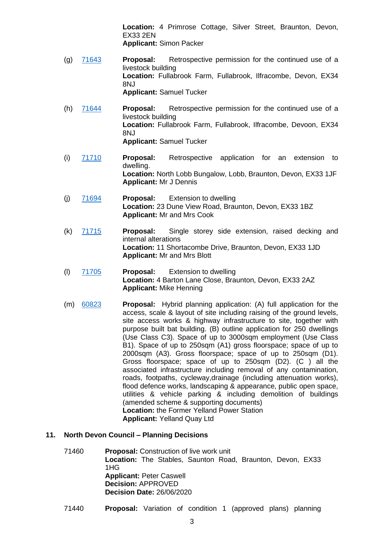**Location:** 4 Primrose Cottage, Silver Street, Braunton, Devon, EX33 2EN **Applicant:** Simon Packer

- (g) [71643](https://planning.northdevon.gov.uk/Planning/Display/71643) **Proposal:** Retrospective permission for the continued use of a livestock building **Location:** Fullabrook Farm, Fullabrook, Ilfracombe, Devon, EX34 8NJ **Applicant:** Samuel Tucker
- (h) [71644](https://planning.northdevon.gov.uk/Planning/Display/71644) **Proposal:** Retrospective permission for the continued use of a livestock building **Location:** Fullabrook Farm, Fullabrook, Ilfracombe, Devoon, EX34 8NJ **Applicant:** Samuel Tucker
- (i) [71710](https://planning.northdevon.gov.uk/Planning/Display/71710) **Proposal:** Retrospective application for an extension to dwelling. **Location:** North Lobb Bungalow, Lobb, Braunton, Devon, EX33 1JF **Applicant:** Mr J Dennis
- (j) [71694](https://planning.northdevon.gov.uk/Planning/Display/71694) **Proposal:** Extension to dwelling **Location:** 23 Dune View Road, Braunton, Devon, EX33 1BZ **Applicant:** Mr and Mrs Cook
- (k) [71715](https://planning.northdevon.gov.uk/Planning/Display/71715) **Proposal:** Single storey side extension, raised decking and internal alterations **Location:** 11 Shortacombe Drive, Braunton, Devon, EX33 1JD **Applicant:** Mr and Mrs Blott
- (l) [71705](https://planning.northdevon.gov.uk/Planning/Display/71705) **Proposal:** Extension to dwelling **Location:** 4 Barton Lane Close, Braunton, Devon, EX33 2AZ **Applicant:** Mike Henning
- (m) [60823](https://planning.northdevon.gov.uk/Planning/Display/60823) **Proposal:** Hybrid planning application: (A) full application for the access, scale & layout of site including raising of the ground levels, site access works & highway infrastructure to site, together with purpose built bat building. (B) outline application for 250 dwellings (Use Class C3). Space of up to 3000sqm employment (Use Class B1). Space of up to 250sqm (A1) gross floorspace; space of up to 2000sqm (A3). Gross floorspace; space of up to 250sqm (D1). Gross floorspace; space of up to 250sqm (D2). (C ) all the associated infrastructure including removal of any contamination, roads, footpaths, cycleway,drainage (including attenuation works), flood defence works, landscaping & appearance, public open space, utilities & vehicle parking & including demolition of buildings (amended scheme & supporting documents) **Location:** the Former Yelland Power Station **Applicant:** Yelland Quay Ltd

### **11. North Devon Council – Planning Decisions**

- 71460 **Proposal:** Construction of live work unit **Location:** The Stables, Saunton Road, Braunton, Devon, EX33 1HG **Applicant:** Peter Caswell **Decision:** APPROVED **Decision Date:** 26/06/2020
- 71440 **Proposal:** Variation of condition 1 (approved plans) planning